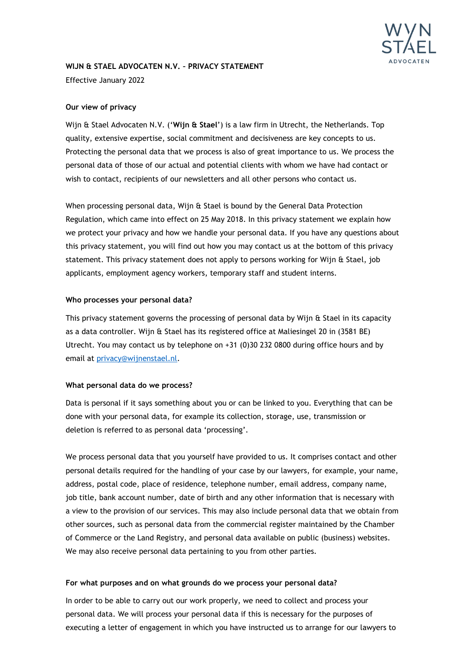

# **WIJN & STAEL ADVOCATEN N.V. – PRIVACY STATEMENT**  Effective January 2022

## **Our view of privacy**

Wijn & Stael Advocaten N.V. ('**Wijn & Stael**') is a law firm in Utrecht, the Netherlands. Top quality, extensive expertise, social commitment and decisiveness are key concepts to us. Protecting the personal data that we process is also of great importance to us. We process the personal data of those of our actual and potential clients with whom we have had contact or wish to contact, recipients of our newsletters and all other persons who contact us.

When processing personal data, Wijn & Stael is bound by the General Data Protection Regulation, which came into effect on 25 May 2018. In this privacy statement we explain how we protect your privacy and how we handle your personal data. If you have any questions about this privacy statement, you will find out how you may contact us at the bottom of this privacy statement. This privacy statement does not apply to persons working for Wijn & Stael, job applicants, employment agency workers, temporary staff and student interns.

## **Who processes your personal data?**

This privacy statement governs the processing of personal data by Wijn & Stael in its capacity as a data controller. Wijn & Stael has its registered office at Maliesingel 20 in (3581 BE) Utrecht. You may contact us by telephone on +31 (0)30 232 0800 during office hours and by email [at](mailto:via_privacy@wijnenstael.nl) [privacy@wijnenstael.nl.](mailto:privacy@wijnenstael.nl)

## **What personal data do we process?**

Data is personal if it says something about you or can be linked to you. Everything that can be done with your personal data, for example its collection, storage, use, transmission or deletion is referred to as personal data 'processing'.

We process personal data that you yourself have provided to us. It comprises contact and other personal details required for the handling of your case by our lawyers, for example, your name, address, postal code, place of residence, telephone number, email address, company name, job title, bank account number, date of birth and any other information that is necessary with a view to the provision of our services. This may also include personal data that we obtain from other sources, such as personal data from the commercial register maintained by the Chamber of Commerce or the Land Registry, and personal data available on public (business) websites. We may also receive personal data pertaining to you from other parties.

## **For what purposes and on what grounds do we process your personal data?**

In order to be able to carry out our work properly, we need to collect and process your personal data. We will process your personal data if this is necessary for the purposes of executing a letter of engagement in which you have instructed us to arrange for our lawyers to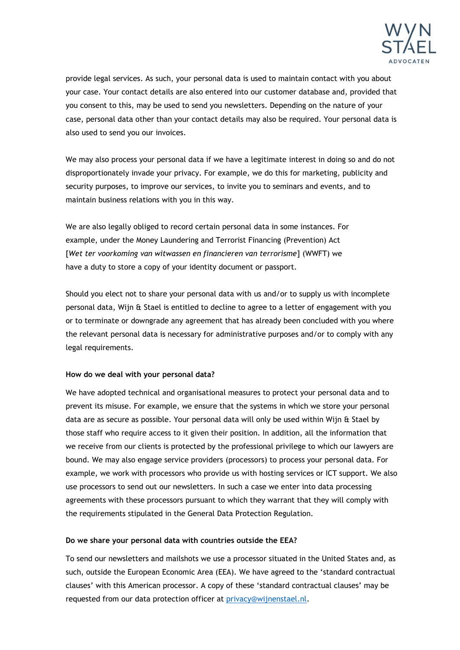

provide legal services. As such, your personal data is used to maintain contact with you about your case. Your contact details are also entered into our customer database and, provided that you consent to this, may be used to send you newsletters. Depending on the nature of your case, personal data other than your contact details may also be required. Your personal data is also used to send you our invoices.

We may also process your personal data if we have a legitimate interest in doing so and do not disproportionately invade your privacy. For example, we do this for marketing, publicity and security purposes, to improve our services, to invite you to seminars and events, and to maintain business relations with you in this way.

We are also legally obliged to record certain personal data in some instances. For example, under the Money Laundering and Terrorist Financing (Prevention) Act [*Wet ter voorkoming van witwassen en financieren van terrorisme*] (WWFT) we have a duty to store a copy of your identity document or passport.

Should you elect not to share your personal data with us and/or to supply us with incomplete personal data, Wijn & Stael is entitled to decline to agree to a letter of engagement with you or to terminate or downgrade any agreement that has already been concluded with you where the relevant personal data is necessary for administrative purposes and/or to comply with any legal requirements.

## **How do we deal with your personal data?**

We have adopted technical and organisational measures to protect your personal data and to prevent its misuse. For example, we ensure that the systems in which we store your personal data are as secure as possible. Your personal data will only be used within Wijn & Stael by those staff who require access to it given their position. In addition, all the information that we receive from our clients is protected by the professional privilege to which our lawyers are bound. We may also engage service providers (processors) to process your personal data. For example, we work with processors who provide us with hosting services or ICT support. We also use processors to send out our newsletters. In such a case we enter into data processing agreements with these processors pursuant to which they warrant that they will comply with the requirements stipulated in the General Data Protection Regulation.

## **Do we share your personal data with countries outside the EEA?**

To send our newsletters and mailshots we use a processor situated in the United States and, as such, outside the European Economic Area (EEA). We have agreed to the 'standard contractual clauses' with this American processor. A copy of these 'standard contractual clauses' may be requested from our data protection officer at [privacy@wijnenstael.nl.](mailto:privacy@wijnenstael.nl)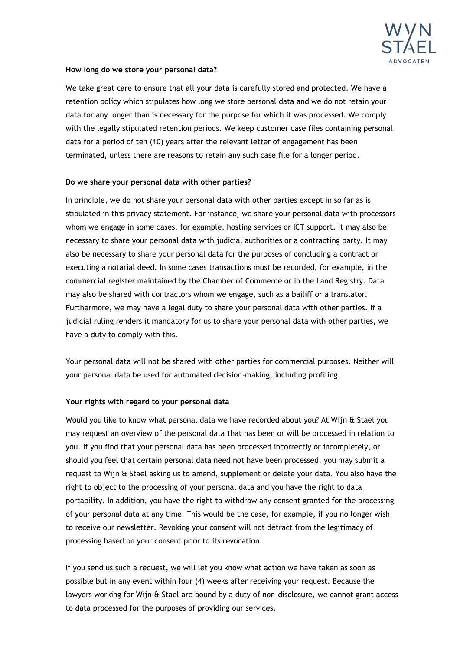

#### **How long do we store your personal data?**

We take great care to ensure that all your data is carefully stored and protected. We have a retention policy which stipulates how long we store personal data and we do not retain your data for any longer than is necessary for the purpose for which it was processed. We comply with the legally stipulated retention periods. We keep customer case files containing personal data for a period of ten (10) years after the relevant letter of engagement has been terminated, unless there are reasons to retain any such case file for a longer period.

#### **Do we share your personal data with other parties?**

In principle, we do not share your personal data with other parties except in so far as is stipulated in this privacy statement. For instance, we share your personal data with processors whom we engage in some cases, for example, hosting services or ICT support. It may also be necessary to share your personal data with judicial authorities or a contracting party. It may also be necessary to share your personal data for the purposes of concluding a contract or executing a notarial deed. In some cases transactions must be recorded, for example, in the commercial register maintained by the Chamber of Commerce or in the Land Registry. Data may also be shared with contractors whom we engage, such as a bailiff or a translator. Furthermore, we may have a legal duty to share your personal data with other parties. If a judicial ruling renders it mandatory for us to share your personal data with other parties, we have a duty to comply with this.

Your personal data will not be shared with other parties for commercial purposes. Neither will your personal data be used for automated decision-making, including profiling.

## **Your rights with regard to your personal data**

Would you like to know what personal data we have recorded about you? At Wijn & Stael you may request an overview of the personal data that has been or will be processed in relation to you. If you find that your personal data has been processed incorrectly or incompletely, or should you feel that certain personal data need not have been processed, you may submit a request to Wijn & Stael asking us to amend, supplement or delete your data. You also have the right to object to the processing of your personal data and you have the right to data portability. In addition, you have the right to withdraw any consent granted for the processing of your personal data at any time. This would be the case, for example, if you no longer wish to receive our newsletter. Revoking your consent will not detract from the legitimacy of processing based on your consent prior to its revocation.

If you send us such a request, we will let you know what action we have taken as soon as possible but in any event within four (4) weeks after receiving your request. Because the lawyers working for Wijn & Stael are bound by a duty of non-disclosure, we cannot grant access to data processed for the purposes of providing our services.